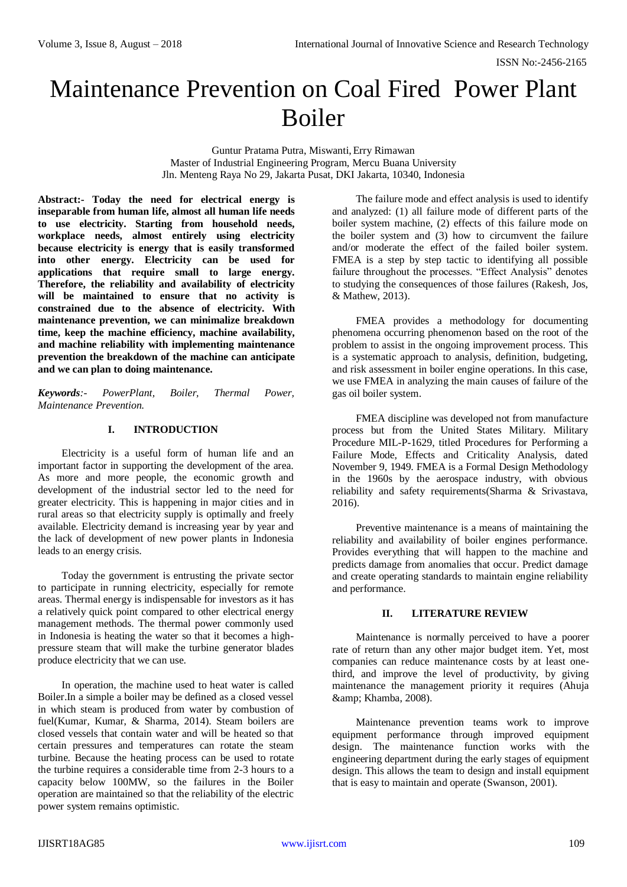# Maintenance Prevention on Coal Fired Power Plant Boiler

Guntur Pratama Putra, Miswanti, Erry Rimawan Master of Industrial Engineering Program, Mercu Buana University Jln. Menteng Raya No 29, Jakarta Pusat, DKI Jakarta, 10340, Indonesia

**Abstract:- Today the need for electrical energy is inseparable from human life, almost all human life needs to use electricity. Starting from household needs, workplace needs, almost entirely using electricity because electricity is energy that is easily transformed into other energy. Electricity can be used for applications that require small to large energy. Therefore, the reliability and availability of electricity**  will be maintained to ensure that no activity is **constrained due to the absence of electricity. With maintenance prevention, we can minimalize breakdown time, keep the machine efficiency, machine availability, and machine reliability with implementing maintenance prevention the breakdown of the machine can anticipate and we can plan to doing maintenance.**

*Keywords:- PowerPlant, Boiler, Thermal Power, Maintenance Prevention.*

## **I. INTRODUCTION**

Electricity is a useful form of human life and an important factor in supporting the development of the area. As more and more people, the economic growth and development of the industrial sector led to the need for greater electricity. This is happening in major cities and in rural areas so that electricity supply is optimally and freely available. Electricity demand is increasing year by year and the lack of development of new power plants in Indonesia leads to an energy crisis.

Today the government is entrusting the private sector to participate in running electricity, especially for remote areas. Thermal energy is indispensable for investors as it has a relatively quick point compared to other electrical energy management methods. The thermal power commonly used in Indonesia is heating the water so that it becomes a highpressure steam that will make the turbine generator blades produce electricity that we can use.

In operation, the machine used to heat water is called Boiler.In a simple a boiler may be defined as a closed vessel in which steam is produced from water by combustion of fuel(Kumar, Kumar, & Sharma, 2014). Steam boilers are closed vessels that contain water and will be heated so that certain pressures and temperatures can rotate the steam turbine. Because the heating process can be used to rotate the turbine requires a considerable time from 2-3 hours to a capacity below 100MW, so the failures in the Boiler operation are maintained so that the reliability of the electric power system remains optimistic.

The failure mode and effect analysis is used to identify and analyzed: (1) all failure mode of different parts of the boiler system machine, (2) effects of this failure mode on the boiler system and (3) how to circumvent the failure and/or moderate the effect of the failed boiler system. FMEA is a step by step tactic to identifying all possible failure throughout the processes. "Effect Analysis" denotes to studying the consequences of those failures (Rakesh, Jos, & Mathew, 2013).

FMEA provides a methodology for documenting phenomena occurring phenomenon based on the root of the problem to assist in the ongoing improvement process. This is a systematic approach to analysis, definition, budgeting, and risk assessment in boiler engine operations. In this case, we use FMEA in analyzing the main causes of failure of the gas oil boiler system.

FMEA discipline was developed not from manufacture process but from the United States Military. Military Procedure MIL-P-1629, titled Procedures for Performing a Failure Mode, Effects and Criticality Analysis, dated November 9, 1949. FMEA is a Formal Design Methodology in the 1960s by the aerospace industry, with obvious reliability and safety requirements(Sharma & Srivastava, 2016).

Preventive maintenance is a means of maintaining the reliability and availability of boiler engines performance. Provides everything that will happen to the machine and predicts damage from anomalies that occur. Predict damage and create operating standards to maintain engine reliability and performance.

#### **II. LITERATURE REVIEW**

Maintenance is normally perceived to have a poorer rate of return than any other major budget item. Yet, most companies can reduce maintenance costs by at least onethird, and improve the level of productivity, by giving maintenance the management priority it requires (Ahuja & amp: Khamba, 2008).

Maintenance prevention teams work to improve equipment performance through improved equipment design. The maintenance function works with the engineering department during the early stages of equipment design. This allows the team to design and install equipment that is easy to maintain and operate (Swanson, 2001).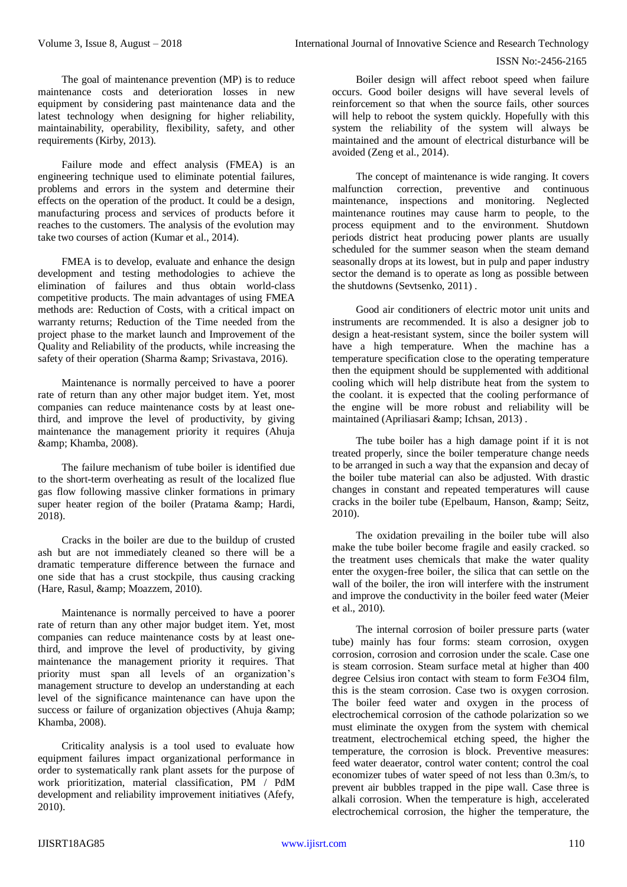#### ISSN No:-2456-2165

The goal of maintenance prevention (MP) is to reduce maintenance costs and deterioration losses in new equipment by considering past maintenance data and the latest technology when designing for higher reliability, maintainability, operability, flexibility, safety, and other requirements (Kirby, 2013).

Failure mode and effect analysis (FMEA) is an engineering technique used to eliminate potential failures, problems and errors in the system and determine their effects on the operation of the product. It could be a design, manufacturing process and services of products before it reaches to the customers. The analysis of the evolution may take two courses of action (Kumar et al., 2014).

FMEA is to develop, evaluate and enhance the design development and testing methodologies to achieve the elimination of failures and thus obtain world-class competitive products. The main advantages of using FMEA methods are: Reduction of Costs, with a critical impact on warranty returns; Reduction of the Time needed from the project phase to the market launch and Improvement of the Quality and Reliability of the products, while increasing the safety of their operation (Sharma & amp; Srivastava, 2016).

Maintenance is normally perceived to have a poorer rate of return than any other major budget item. Yet, most companies can reduce maintenance costs by at least onethird, and improve the level of productivity, by giving maintenance the management priority it requires (Ahuja & amp; Khamba, 2008).

The failure mechanism of tube boiler is identified due to the short-term overheating as result of the localized flue gas flow following massive clinker formations in primary super heater region of the boiler (Pratama & amp; Hardi, 2018).

Cracks in the boiler are due to the buildup of crusted ash but are not immediately cleaned so there will be a dramatic temperature difference between the furnace and one side that has a crust stockpile, thus causing cracking (Hare, Rasul, & amp; Moazzem, 2010).

Maintenance is normally perceived to have a poorer rate of return than any other major budget item. Yet, most companies can reduce maintenance costs by at least onethird, and improve the level of productivity, by giving maintenance the management priority it requires. That priority must span all levels of an organization's management structure to develop an understanding at each level of the significance maintenance can have upon the success or failure of organization objectives (Ahuja & amp: Khamba, 2008).

Criticality analysis is a tool used to evaluate how equipment failures impact organizational performance in order to systematically rank plant assets for the purpose of work prioritization, material classification, PM / PdM development and reliability improvement initiatives (Afefy, 2010).

Boiler design will affect reboot speed when failure occurs. Good boiler designs will have several levels of reinforcement so that when the source fails, other sources will help to reboot the system quickly. Hopefully with this system the reliability of the system will always be maintained and the amount of electrical disturbance will be avoided (Zeng et al., 2014).

The concept of maintenance is wide ranging. It covers malfunction correction, preventive and continuous maintenance, inspections and monitoring. Neglected maintenance routines may cause harm to people, to the process equipment and to the environment. Shutdown periods district heat producing power plants are usually scheduled for the summer season when the steam demand seasonally drops at its lowest, but in pulp and paper industry sector the demand is to operate as long as possible between the shutdowns (Sevtsenko, 2011) .

Good air conditioners of electric motor unit units and instruments are recommended. It is also a designer job to design a heat-resistant system, since the boiler system will have a high temperature. When the machine has a temperature specification close to the operating temperature then the equipment should be supplemented with additional cooling which will help distribute heat from the system to the coolant. it is expected that the cooling performance of the engine will be more robust and reliability will be maintained (Apriliasari & amp; Ichsan, 2013).

The tube boiler has a high damage point if it is not treated properly, since the boiler temperature change needs to be arranged in such a way that the expansion and decay of the boiler tube material can also be adjusted. With drastic changes in constant and repeated temperatures will cause cracks in the boiler tube (Epelbaum, Hanson, & amp; Seitz, 2010).

The oxidation prevailing in the boiler tube will also make the tube boiler become fragile and easily cracked. so the treatment uses chemicals that make the water quality enter the oxygen-free boiler, the silica that can settle on the wall of the boiler, the iron will interfere with the instrument and improve the conductivity in the boiler feed water (Meier et al., 2010).

The internal corrosion of boiler pressure parts (water tube) mainly has four forms: steam corrosion, oxygen corrosion, corrosion and corrosion under the scale. Case one is steam corrosion. Steam surface metal at higher than 400 degree Celsius iron contact with steam to form Fe3O4 film, this is the steam corrosion. Case two is oxygen corrosion. The boiler feed water and oxygen in the process of electrochemical corrosion of the cathode polarization so we must eliminate the oxygen from the system with chemical treatment, electrochemical etching speed, the higher the temperature, the corrosion is block. Preventive measures: feed water deaerator, control water content; control the coal economizer tubes of water speed of not less than 0.3m/s, to prevent air bubbles trapped in the pipe wall. Case three is alkali corrosion. When the temperature is high, accelerated electrochemical corrosion, the higher the temperature, the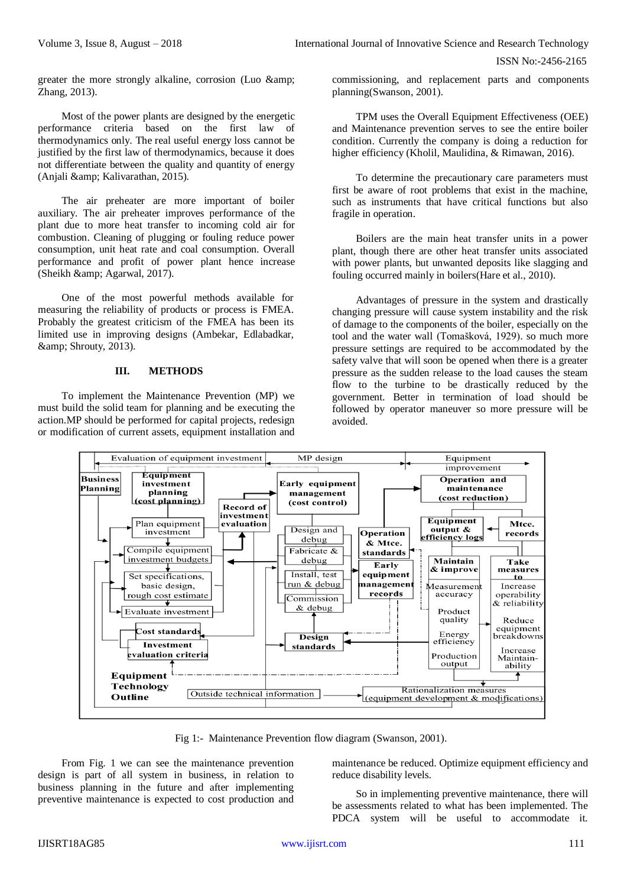greater the more strongly alkaline, corrosion (Luo & Zhang, 2013).

Most of the power plants are designed by the energetic performance criteria based on the first law of thermodynamics only. The real useful energy loss cannot be justified by the first law of thermodynamics, because it does not differentiate between the quality and quantity of energy (Anjali & amp; Kalivarathan, 2015).

The air preheater are more important of boiler auxiliary. The air preheater improves performance of the plant due to more heat transfer to incoming cold air for combustion. Cleaning of plugging or fouling reduce power consumption, unit heat rate and coal consumption. Overall performance and profit of power plant hence increase (Sheikh & amp; Agarwal, 2017).

One of the most powerful methods available for measuring the reliability of products or process is FMEA. Probably the greatest criticism of the FMEA has been its limited use in improving designs (Ambekar, Edlabadkar, & amp; Shrouty, 2013).

#### **III. METHODS**

To implement the Maintenance Prevention (MP) we must build the solid team for planning and be executing the action.MP should be performed for capital projects, redesign or modification of current assets, equipment installation and

commissioning, and replacement parts and components planning(Swanson, 2001).

TPM uses the Overall Equipment Effectiveness (OEE) and Maintenance prevention serves to see the entire boiler condition. Currently the company is doing a reduction for higher efficiency (Kholil, Maulidina, & Rimawan, 2016).

To determine the precautionary care parameters must first be aware of root problems that exist in the machine, such as instruments that have critical functions but also fragile in operation.

Boilers are the main heat transfer units in a power plant, though there are other heat transfer units associated with power plants, but unwanted deposits like slagging and fouling occurred mainly in boilers(Hare et al., 2010).

Advantages of pressure in the system and drastically changing pressure will cause system instability and the risk of damage to the components of the boiler, especially on the tool and the water wall (Tomašková, 1929). so much more pressure settings are required to be accommodated by the safety valve that will soon be opened when there is a greater pressure as the sudden release to the load causes the steam flow to the turbine to be drastically reduced by the government. Better in termination of load should be followed by operator maneuver so more pressure will be avoided.



Fig 1:- Maintenance Prevention flow diagram (Swanson, 2001).

From Fig. 1 we can see the maintenance prevention design is part of all system in business, in relation to business planning in the future and after implementing preventive maintenance is expected to cost production and

maintenance be reduced. Optimize equipment efficiency and reduce disability levels.

So in implementing preventive maintenance, there will be assessments related to what has been implemented. The PDCA system will be useful to accommodate it.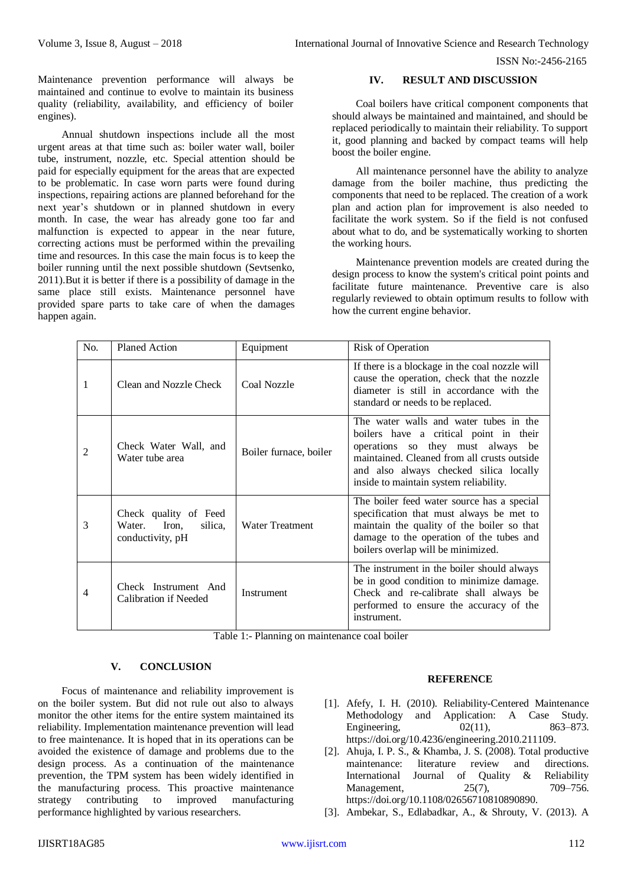Maintenance prevention performance will always be maintained and continue to evolve to maintain its business quality (reliability, availability, and efficiency of boiler engines).

Annual shutdown inspections include all the most urgent areas at that time such as: boiler water wall, boiler tube, instrument, nozzle, etc. Special attention should be paid for especially equipment for the areas that are expected to be problematic. In case worn parts were found during inspections, repairing actions are planned beforehand for the next year's shutdown or in planned shutdown in every month. In case, the wear has already gone too far and malfunction is expected to appear in the near future, correcting actions must be performed within the prevailing time and resources. In this case the main focus is to keep the boiler running until the next possible shutdown (Sevtsenko, 2011).But it is better if there is a possibility of damage in the same place still exists. Maintenance personnel have provided spare parts to take care of when the damages happen again.

# **IV. RESULT AND DISCUSSION**

Coal boilers have critical component components that should always be maintained and maintained, and should be replaced periodically to maintain their reliability. To support it, good planning and backed by compact teams will help boost the boiler engine.

All maintenance personnel have the ability to analyze damage from the boiler machine, thus predicting the components that need to be replaced. The creation of a work plan and action plan for improvement is also needed to facilitate the work system. So if the field is not confused about what to do, and be systematically working to shorten the working hours.

Maintenance prevention models are created during the design process to know the system's critical point points and facilitate future maintenance. Preventive care is also regularly reviewed to obtain optimum results to follow with how the current engine behavior.

| No. | <b>Planed Action</b>                                                    | Equipment              | Risk of Operation                                                                                                                                                                                                                                        |
|-----|-------------------------------------------------------------------------|------------------------|----------------------------------------------------------------------------------------------------------------------------------------------------------------------------------------------------------------------------------------------------------|
| 1   | Clean and Nozzle Check                                                  | Coal Nozzle            | If there is a blockage in the coal nozzle will<br>cause the operation, check that the nozzle<br>diameter is still in accordance with the<br>standard or needs to be replaced.                                                                            |
| 2   | Check Water Wall, and<br>Water tube area                                | Boiler furnace, boiler | The water walls and water tubes in the<br>boilers have a critical point in their<br>operations so they must always be<br>maintained. Cleaned from all crusts outside<br>and also always checked silica locally<br>inside to maintain system reliability. |
| 3   | Check quality of Feed<br>Iron,<br>Water.<br>silica.<br>conductivity, pH | <b>Water Treatment</b> | The boiler feed water source has a special<br>specification that must always be met to<br>maintain the quality of the boiler so that<br>damage to the operation of the tubes and<br>boilers overlap will be minimized.                                   |
| 4   | Check Instrument And<br>Calibration if Needed                           | Instrument             | The instrument in the boiler should always<br>be in good condition to minimize damage.<br>Check and re-calibrate shall always be<br>performed to ensure the accuracy of the<br>instrument.                                                               |

Table 1:- Planning on maintenance coal boiler

# **V. CONCLUSION**

Focus of maintenance and reliability improvement is on the boiler system. But did not rule out also to always monitor the other items for the entire system maintained its reliability. Implementation maintenance prevention will lead to free maintenance. It is hoped that in its operations can be avoided the existence of damage and problems due to the design process. As a continuation of the maintenance prevention, the TPM system has been widely identified in the manufacturing process. This proactive maintenance strategy contributing to improved manufacturing performance highlighted by various researchers.

## **REFERENCE**

- [1]. Afefy, I. H. (2010). Reliability-Centered Maintenance Methodology and Application: A Case Study. Engineering, 02(11), 863–873. https://doi.org/10.4236/engineering.2010.211109.
- [2]. Ahuja, I. P. S., & Khamba, J. S. (2008). Total productive maintenance: literature review and directions. International Journal of Quality & Reliability Management, 25(7), 709–756. https://doi.org/10.1108/02656710810890890.
- [3]. Ambekar, S., Edlabadkar, A., & Shrouty, V. (2013). A